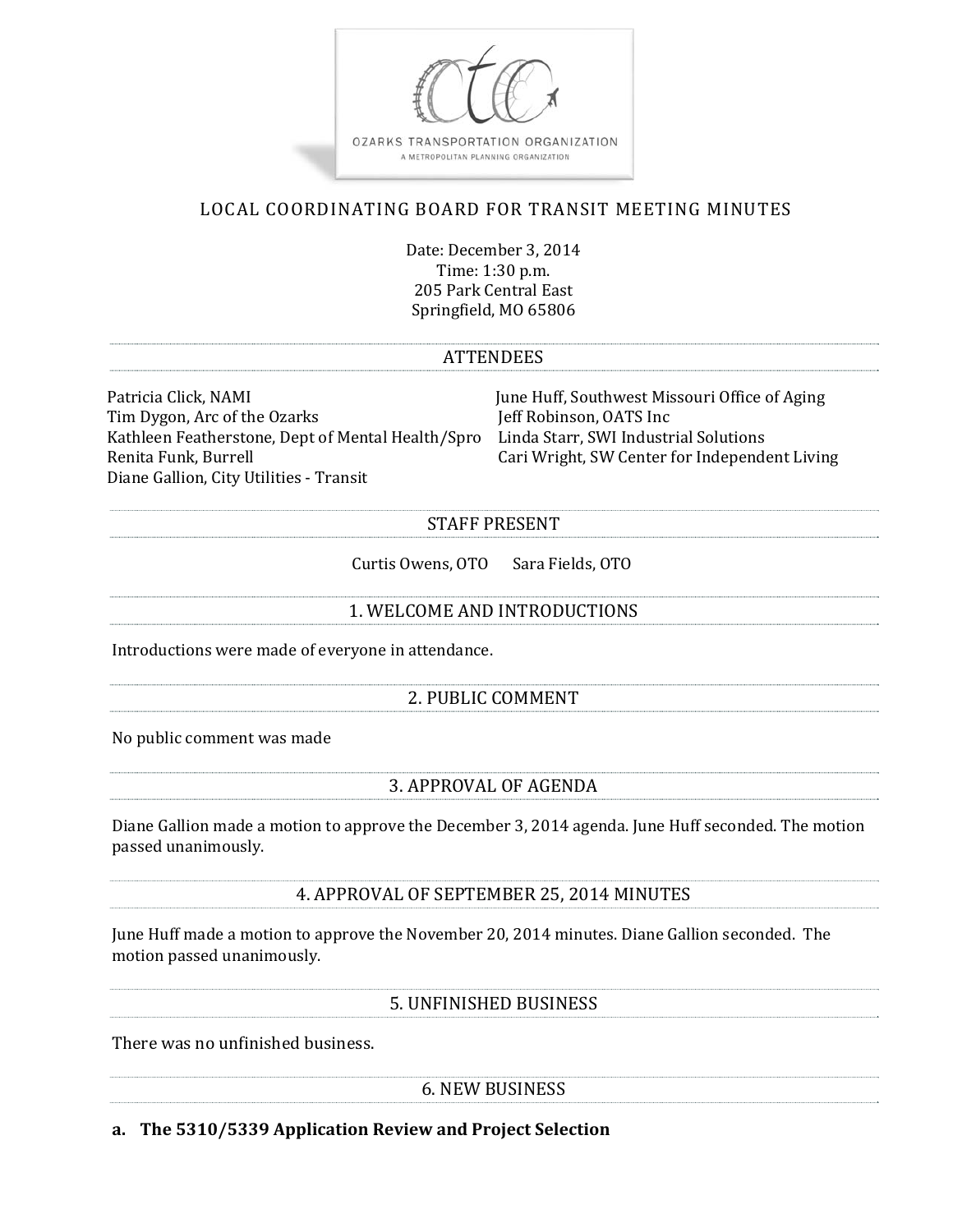

# LOCAL COORDINATING BOARD FOR TRANSIT MEETING MINUTES

Date: December 3, 2014 Time: 1:30 p.m. 205 Park Central East Springfield, MO 65806

#### **ATTENDEES**

Patricia Click, NAMI **Southwest Missouri Office of Aging** Tim Dygon, Arc of the Ozarks Jeff Robinson, OATS Inc Kathleen Featherstone, Dept of Mental Health/Spro Linda Starr, SWI Industrial Solutions Renita Funk, Burrell **Exercise 2018** Cari Wright, SW Center for Independent Living Diane Gallion, City Utilities - Transit

### STAFF PRESENT

Curtis Owens, OTO Sara Fields, OTO

### 1. WELCOME AND INTRODUCTIONS

Introductions were made of everyone in attendance.

### 2. PUBLIC COMMENT

No public comment was made

### 3. APPROVAL OF AGENDA

Diane Gallion made a motion to approve the December 3, 2014 agenda. June Huff seconded. The motion passed unanimously.

4. APPROVAL OF SEPTEMBER 25, 2014 MINUTES

June Huff made a motion to approve the November 20, 2014 minutes. Diane Gallion seconded. The motion passed unanimously.

5. UNFINISHED BUSINESS

There was no unfinished business.

6. NEW BUSINESS 

**a. The 5310/5339 Application Review and Project Selection**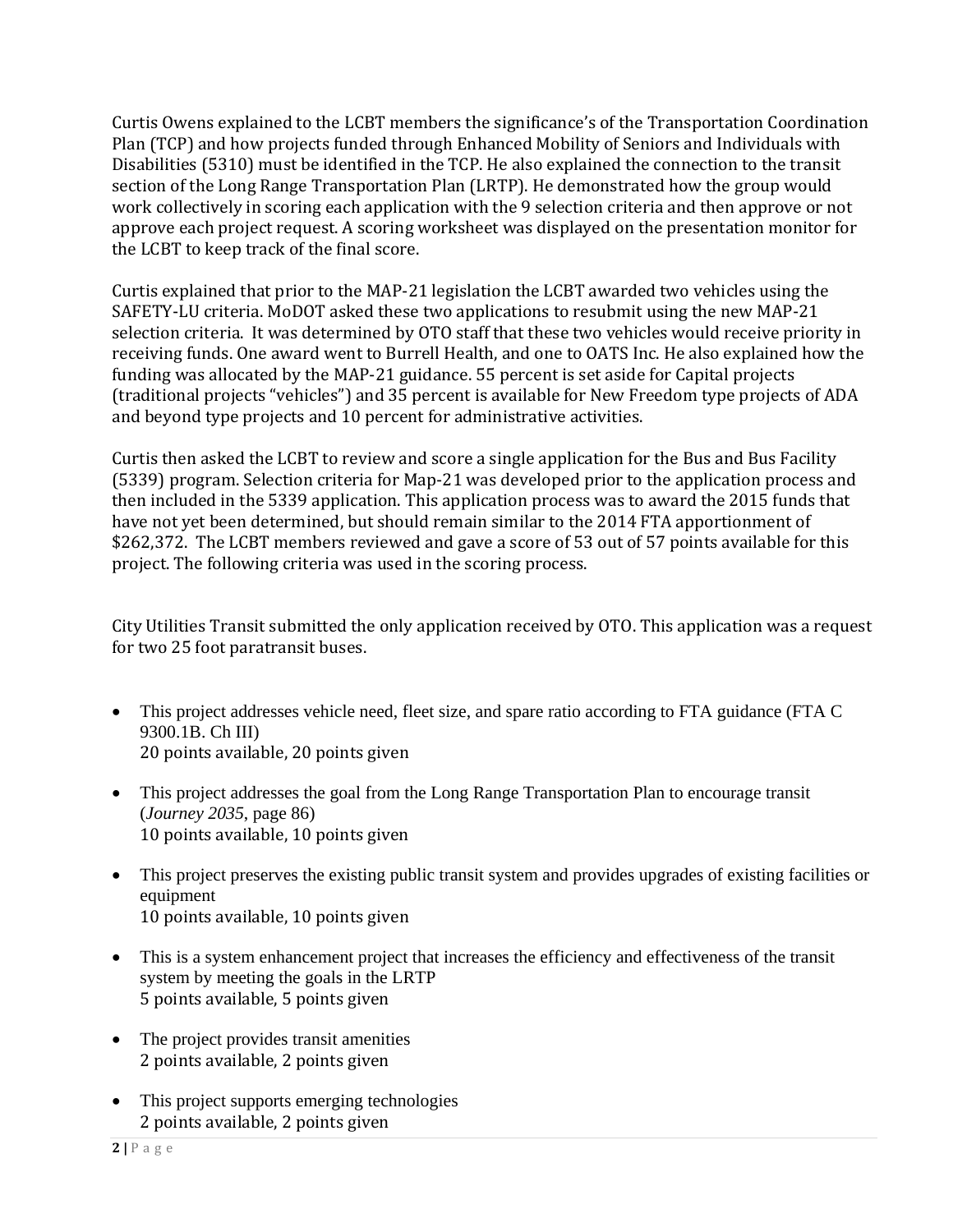Curtis Owens explained to the LCBT members the significance's of the Transportation Coordination Plan (TCP) and how projects funded through Enhanced Mobility of Seniors and Individuals with Disabilities (5310) must be identified in the TCP. He also explained the connection to the transit section of the Long Range Transportation Plan (LRTP). He demonstrated how the group would work collectively in scoring each application with the 9 selection criteria and then approve or not approve each project request. A scoring worksheet was displayed on the presentation monitor for the LCBT to keep track of the final score.

Curtis explained that prior to the MAP-21 legislation the LCBT awarded two vehicles using the SAFETY-LU criteria. MoDOT asked these two applications to resubmit using the new MAP-21 selection criteria. It was determined by OTO staff that these two vehicles would receive priority in receiving funds. One award went to Burrell Health, and one to OATS Inc. He also explained how the funding was allocated by the MAP-21 guidance. 55 percent is set aside for Capital projects (traditional projects "vehicles") and 35 percent is available for New Freedom type projects of ADA and beyond type projects and 10 percent for administrative activities.

Curtis then asked the LCBT to review and score a single application for the Bus and Bus Facility (5339) program. Selection criteria for Map-21 was developed prior to the application process and then included in the 5339 application. This application process was to award the 2015 funds that have not yet been determined, but should remain similar to the 2014 FTA apportionment of \$262,372. The LCBT members reviewed and gave a score of 53 out of 57 points available for this project. The following criteria was used in the scoring process.

City Utilities Transit submitted the only application received by OTO. This application was a request for two 25 foot paratransit buses.

- This project addresses vehicle need, fleet size, and spare ratio according to FTA guidance (FTA C 9300.1B. Ch III) 20 points available, 20 points given
- This project addresses the goal from the Long Range Transportation Plan to encourage transit (*Journey 2035*, page 86) 10 points available, 10 points given
- This project preserves the existing public transit system and provides upgrades of existing facilities or equipment 10 points available, 10 points given
- This is a system enhancement project that increases the efficiency and effectiveness of the transit system by meeting the goals in the LRTP 5 points available, 5 points given
- The project provides transit amenities 2 points available, 2 points given
- This project supports emerging technologies 2 points available, 2 points given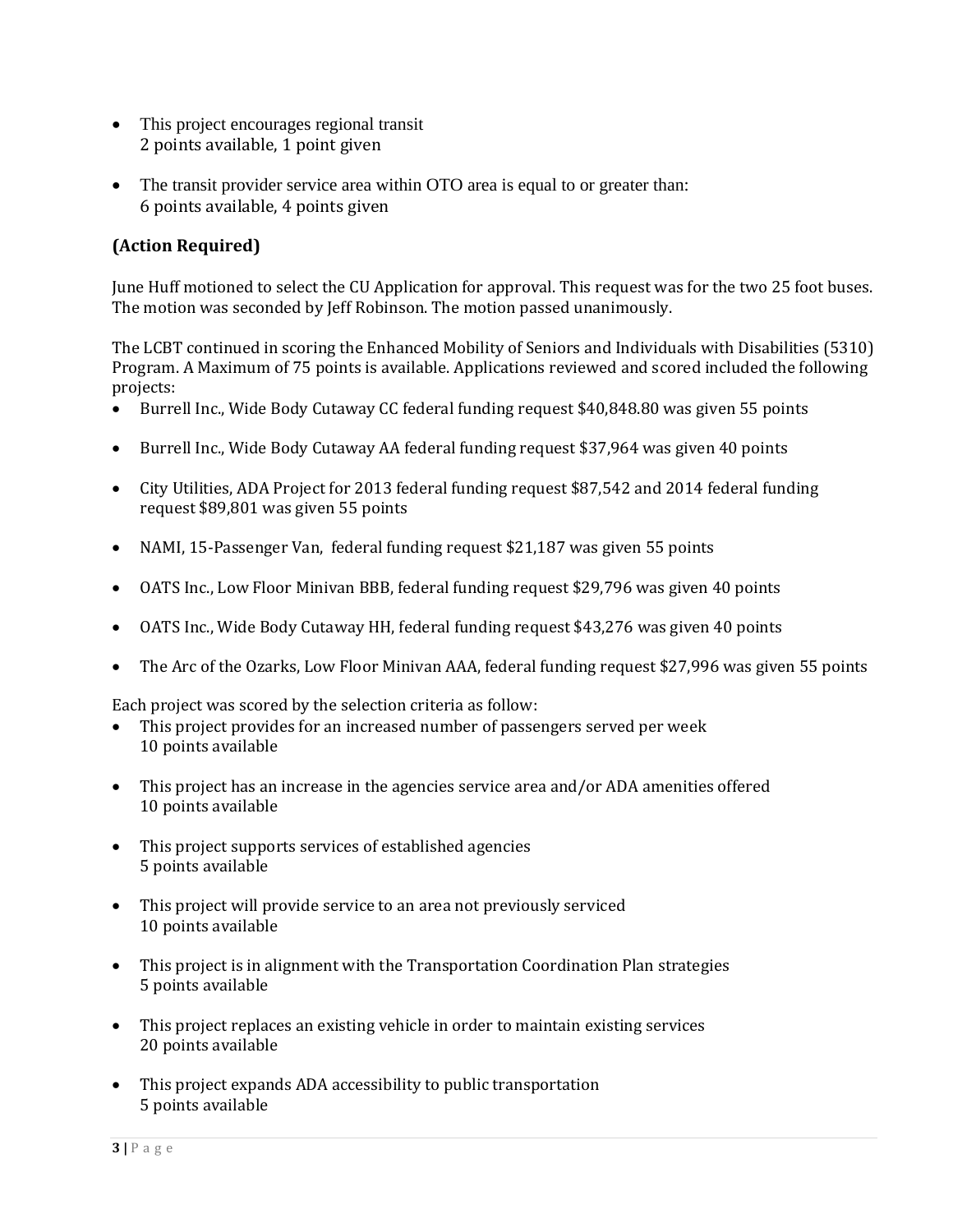- This project encourages regional transit 2 points available, 1 point given
- The transit provider service area within OTO area is equal to or greater than: 6 points available, 4 points given

# **(Action Required)**

June Huff motioned to select the CU Application for approval. This request was for the two 25 foot buses. The motion was seconded by Jeff Robinson. The motion passed unanimously.

The LCBT continued in scoring the Enhanced Mobility of Seniors and Individuals with Disabilities (5310) Program. A Maximum of 75 points is available. Applications reviewed and scored included the following projects: 

- Burrell Inc., Wide Body Cutaway CC federal funding request \$40,848.80 was given 55 points
- Burrell Inc., Wide Body Cutaway AA federal funding request \$37,964 was given 40 points
- City Utilities, ADA Project for 2013 federal funding request \$87,542 and 2014 federal funding request \$89,801 was given 55 points
- NAMI, 15-Passenger Van, federal funding request \$21,187 was given 55 points
- OATS Inc., Low Floor Minivan BBB, federal funding request \$29,796 was given 40 points
- OATS Inc., Wide Body Cutaway HH, federal funding request \$43,276 was given 40 points
- The Arc of the Ozarks, Low Floor Minivan AAA, federal funding request \$27,996 was given 55 points

Each project was scored by the selection criteria as follow:

- This project provides for an increased number of passengers served per week 10 points available
- This project has an increase in the agencies service area and/or ADA amenities offered 10 points available
- This project supports services of established agencies 5 points available
- This project will provide service to an area not previously serviced 10 points available
- This project is in alignment with the Transportation Coordination Plan strategies 5 points available
- This project replaces an existing vehicle in order to maintain existing services 20 points available
- $\bullet$  This project expands ADA accessibility to public transportation 5 points available